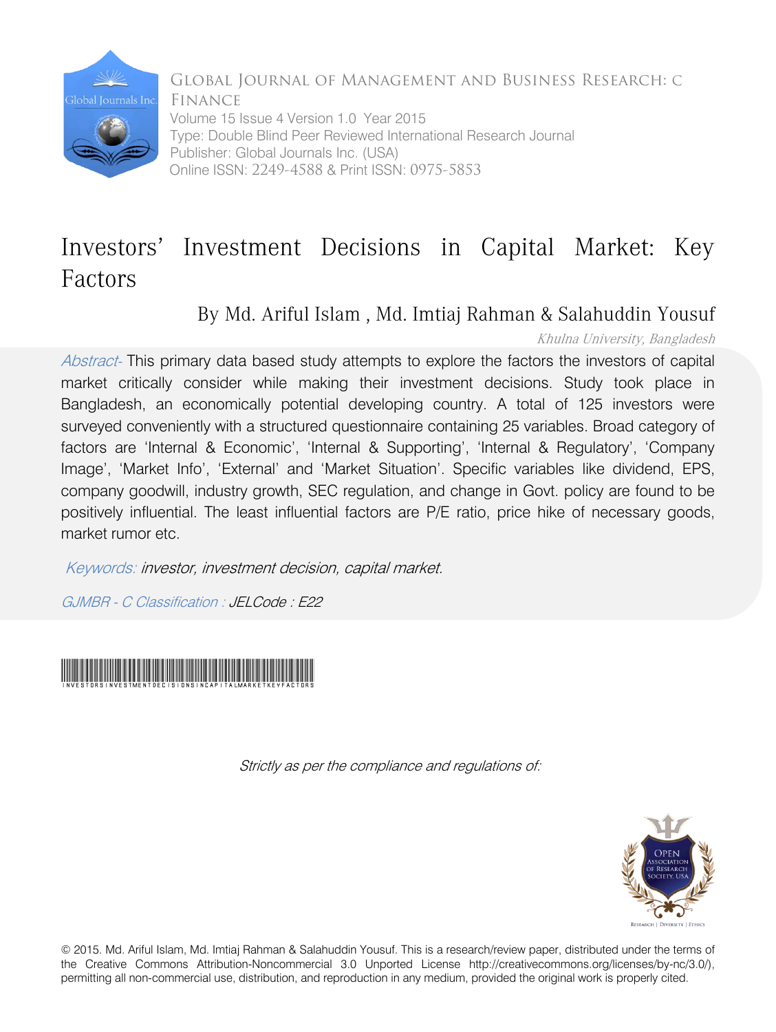

Global Journal of Management and Business Research: C Finance Volume 15 Issue 4 Version 1.0 Year 2015 Type: Double Blind Peer Reviewed International Research Journal Publisher: Global Journals Inc. (USA) Online ISSN: 2249-4588 & Print ISSN: 0975-5853

# Investors' Investment Decisions in Capital Market: Key Factors

By Md. Ariful Islam , Md. Imtiaj Rahman & Salahuddin Yousuf

# Khulna University, Bangladesh

Abstract- This primary data based study attempts to explore the factors the investors of capital market critically consider while making their investment decisions. Study took place in Bangladesh, an economically potential developing country. A total of 125 investors were surveyed conveniently with a structured questionnaire containing 25 variables. Broad category of factors are 'Internal & Economic', 'Internal & Supporting', 'Internal & Regulatory', 'Company Image', 'Market Info', 'External' and 'Market Situation'. Specific variables like dividend, EPS, company goodwill, industry growth, SEC regulation, and change in Govt. policy are found to be positively influential. The least influential factors are P/E ratio, price hike of necessary goods, market rumor etc.

Keywords: investor, investment decision, capital market.

GJMBR - C Classification : JELCode : E22



Strictly as per the compliance and regulations of:



© 2015. Md. Ariful Islam, Md. Imtiaj Rahman & Salahuddin Yousuf. This is a research/review paper, distributed under the terms of the Creative Commons Attribution-Noncommercial 3.0 Unported License http://creativecommons.org/licenses/by-nc/3.0/), permitting all non-commercial use, distribution, and reproduction in any medium, provided the original work is properly cited.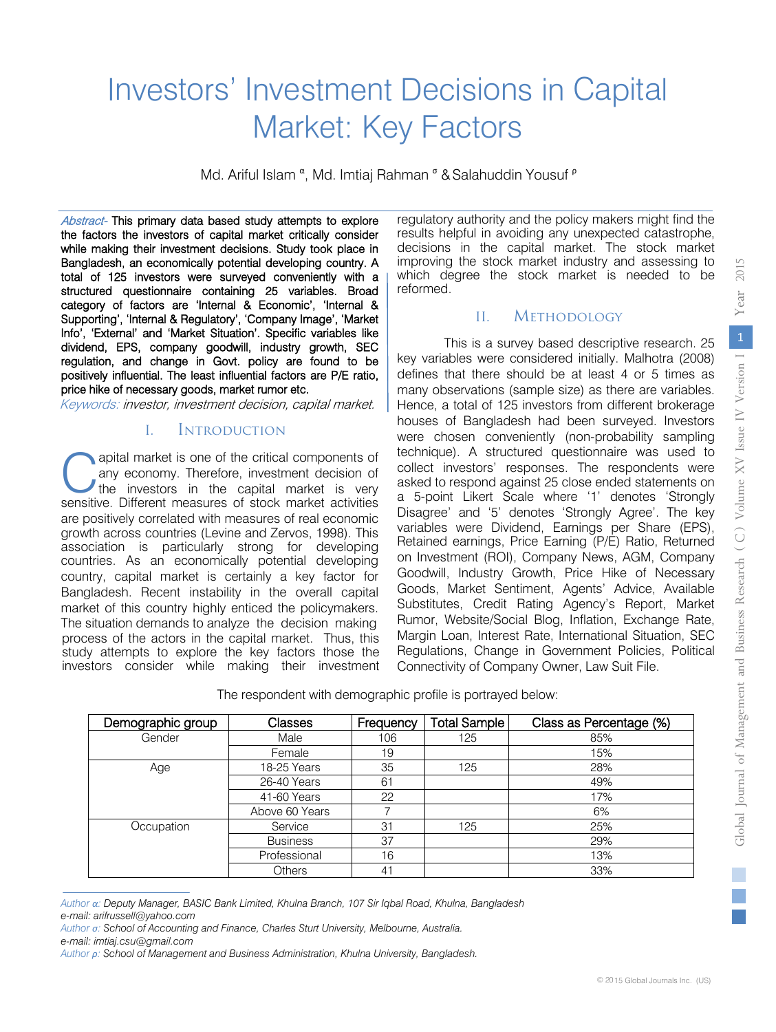# Investors' Investment Decisions in Capital Market: Key Factors

Md. Ariful Islam <sup>α</sup>, Md. Imtiaj Rahman <sup>σ</sup> & Salahuddin Yousuf <sup>ρ</sup>

Abstract- This primary data based study attempts to explore the factors the investors of capital market critically consider while making their investment decisions. Study took place in Bangladesh, an economically potential developing country. A total of 125 investors were surveyed conveniently with a structured questionnaire containing 25 variables. Broad category of factors are 'Internal & Economic', 'Internal & Supporting', 'Internal & Regulatory', 'Company Image', 'Market Info', 'External' and 'Market Situation'. Specific variables like dividend, EPS, company goodwill, industry growth, SEC regulation, and change in Govt. policy are found to be positively influential. The least influential factors are P/E ratio, price hike of necessary goods, market rumor etc.

Keywords: investor, investment decision, capital market.

#### I. Introduction

apital market is one of the critical components of any economy. Therefore, investment decision of the investors in the capital market is very **C** apital market is one of the critical components of any economy. Therefore, investment decision of the investors in the capital market is very sensitive. Different measures of stock market activities are positively correlated with measures of real economic growth across countries (Levine and Zervos, 1998). This association is particularly strong for developing countries. As an economically potential developing country, capital market is certainly a key factor for Bangladesh. Recent instability in the overall capital market of this country highly enticed the policymakers. The situation demands to analyze the decision making process of the actors in the capital market. Thus, this study attempts to explore the key factors those the investors consider while making their investment

decisions in the capital market. The stock market regulatory authority and the policy makers might find the results helpful in avoiding any unexpected catastrophe, improving the stock market industry and assessing to which degree the stock market is needed to be reformed.

#### II. Methodology

This is a survey based descriptive research. 25 key variables were considered initially. Malhotra (2008) defines that there should be at least 4 or 5 times as many observations (sample size) as there are variables. Hence, a total of 125 investors from different brokerage houses of Bangladesh had been surveyed. Investors were chosen conveniently (non-probability sampling technique). A structured questionnaire was used to collect investors' responses. The respondents were asked to respond against 25 close ended statements on a 5-point Likert Scale where '1' denotes 'Strongly Disagree' and '5' denotes 'Strongly Agree'. The key variables were Dividend, Earnings per Share (EPS), Retained earnings, Price Earning (P/E) Ratio, Returned on Investment (ROI), Company News, AGM, Company Goodwill, Industry Growth, Price Hike of Necessary Goods, Market Sentiment, Agents' Advice, Available Substitutes, Credit Rating Agency's Report, Market Rumor, Website/Social Blog, Inflation, Exchange Rate, Margin Loan, Interest Rate, International Situation, SEC Regulations, Change in Government Policies, Political Connectivity of Company Owner, Law Suit File.

The respondent with demographic profile is portrayed below:

| Demographic group | Classes         | Frequency | <b>Total Sample</b> | Class as Percentage (%) |
|-------------------|-----------------|-----------|---------------------|-------------------------|
| Gender            | Male            | 106       | 125                 | 85%                     |
|                   | Female          | 19        |                     | 15%                     |
| Age               | 18-25 Years     | 35        | 125                 | 28%                     |
|                   | 26-40 Years     | 61        |                     | 49%                     |
|                   | 41-60 Years     | 22        |                     | 17%                     |
|                   | Above 60 Years  |           |                     | 6%                      |
| Occupation        | Service         | 31        | 125                 | 25%                     |
|                   | <b>Business</b> | 37        |                     | 29%                     |
|                   | Professional    | 16        |                     | 13%                     |
|                   | <b>Others</b>   | 41        |                     | 33%                     |

*Author α: Deputy Manager, BASIC Bank Limited, Khulna Branch, 107 Sir Iqbal Road, Khulna, Bangladesh e-mail: arifrussell@yahoo.com*

*Author σ: School of Accounting and Finance, Charles Sturt University, Melbourne, Australia.*

*e-mail: imtiaj.csu@gmail.com*

*Author ρ: School of Management and Business Administration, Khulna University, Bangladesh.*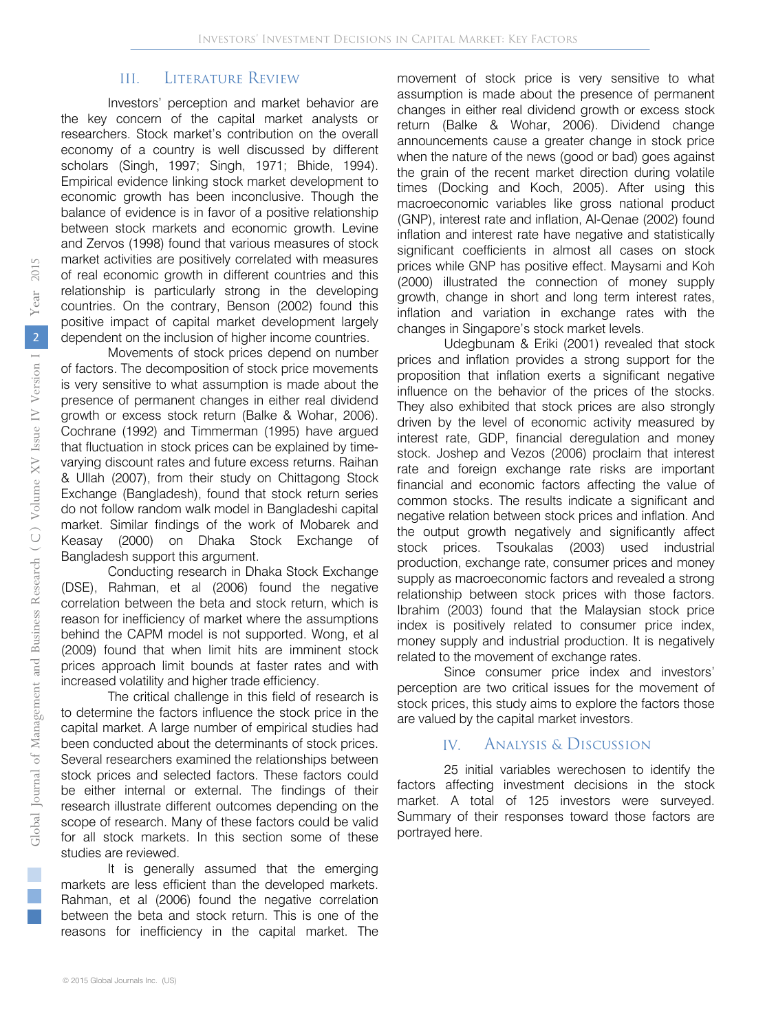#### III. Literature Review

Investors' perception and market behavior are the key concern of the capital market analysts or researchers. Stock market's contribution on the overall economy of a country is well discussed by different scholars (Singh, 1997; Singh, 1971; Bhide, 1994). Empirical evidence linking stock market development to economic growth has been inconclusive. Though the balance of evidence is in favor of a positive relationship between stock markets and economic growth. Levine and Zervos (1998) found that various measures of stock market activities are positively correlated with measures of real economic growth in different countries and this relationship is particularly strong in the developing countries. On the contrary, Benson (2002) found this positive impact of capital market development largely dependent on the inclusion of higher income countries.

Movements of stock prices depend on number of factors. The decomposition of stock price movements is very sensitive to what assumption is made about the presence of permanent changes in either real dividend growth or excess stock return (Balke & Wohar, 2006). Cochrane (1992) and Timmerman (1995) have argued that fluctuation in stock prices can be explained by timevarying discount rates and future excess returns. Raihan & Ullah (2007), from their study on Chittagong Stock Exchange (Bangladesh), found that stock return series do not follow random walk model in Bangladeshi capital market. Similar findings of the work of Mobarek and Keasay (2000) on Dhaka Stock Exchange of Bangladesh support this argument.

Conducting research in Dhaka Stock Exchange (DSE), Rahman, et al (2006) found the negative correlation between the beta and stock return, which is reason for inefficiency of market where the assumptions behind the CAPM model is not supported. Wong, et al (2009) found that when limit hits are imminent stock prices approach limit bounds at faster rates and with increased volatility and higher trade efficiency.

The critical challenge in this field of research is to determine the factors influence the stock price in the capital market. A large number of empirical studies had been conducted about the determinants of stock prices. Several researchers examined the relationships between stock prices and selected factors. These factors could be either internal or external. The findings of their research illustrate different outcomes depending on the scope of research. Many of these factors could be valid for all stock markets. In this section some of these studies are reviewed.

It is generally assumed that the emerging markets are less efficient than the developed markets. Rahman, et al (2006) found the negative correlation between the beta and stock return. This is one of the reasons for inefficiency in the capital market. The

movement of stock price is very sensitive to what assumption is made about the presence of permanent changes in either real dividend growth or excess stock return (Balke & Wohar, 2006). Dividend change announcements cause a greater change in stock price when the nature of the news (good or bad) goes against the grain of the recent market direction during volatile times (Docking and Koch, 2005). After using this macroeconomic variables like gross national product (GNP), interest rate and inflation, Al-Qenae (2002) found inflation and interest rate have negative and statistically significant coefficients in almost all cases on stock prices while GNP has positive effect. Maysami and Koh (2000) illustrated the connection of money supply growth, change in short and long term interest rates, inflation and variation in exchange rates with the changes in Singapore's stock market levels.

Udegbunam & Eriki (2001) revealed that stock prices and inflation provides a strong support for the proposition that inflation exerts a significant negative influence on the behavior of the prices of the stocks. They also exhibited that stock prices are also strongly driven by the level of economic activity measured by interest rate, GDP, financial deregulation and money stock. Joshep and Vezos (2006) proclaim that interest rate and foreign exchange rate risks are important financial and economic factors affecting the value of common stocks. The results indicate a significant and negative relation between stock prices and inflation. And the output growth negatively and significantly affect stock prices. Tsoukalas (2003) used industrial production, exchange rate, consumer prices and money supply as macroeconomic factors and revealed a strong relationship between stock prices with those factors. Ibrahim (2003) found that the Malaysian stock price index is positively related to consumer price index, money supply and industrial production. It is negatively related to the movement of exchange rates.

Since consumer price index and investors' perception are two critical issues for the movement of stock prices, this study aims to explore the factors those are valued by the capital market investors.

#### IV. Analysis & Discussion

25 initial variables werechosen to identify the factors affecting investment decisions in the stock market. A total of 125 investors were surveyed. Summary of their responses toward those factors are portrayed here.

 $\mathbb{R}^3$  $\mathbb{R}^3$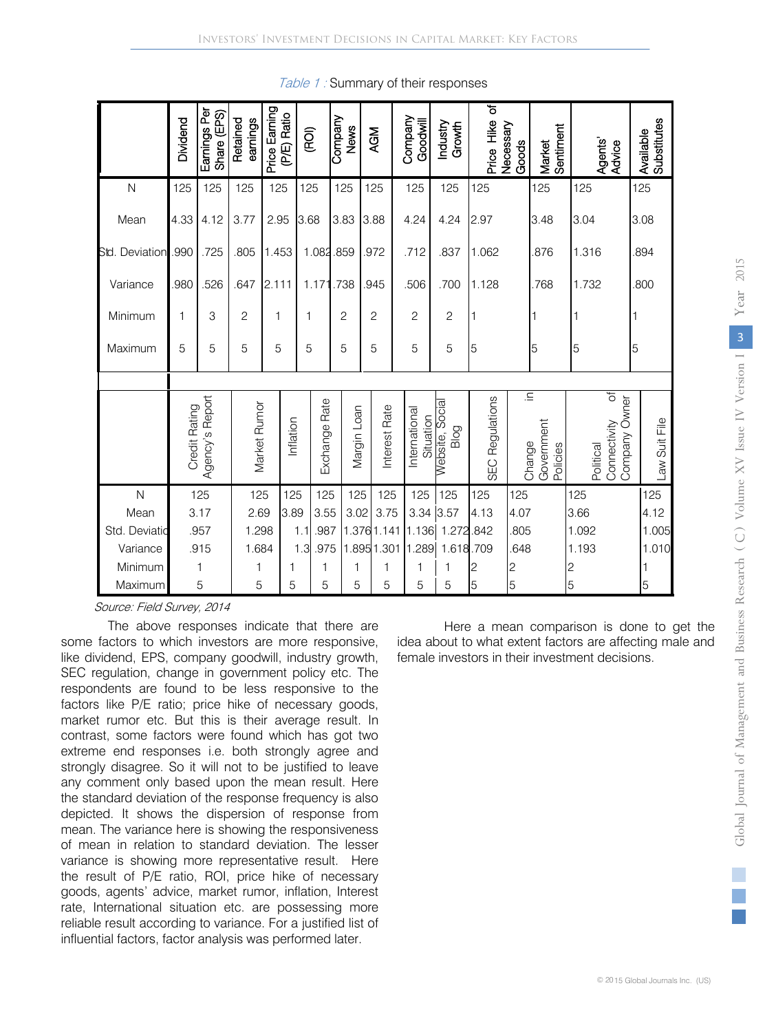|                           | Dividend      | Earnings Per<br>Share (EPS) | Retained<br>earnings | Price Earning<br>(P/E) Ratio | (ROI)                      | Company<br><b>News</b> | <b>AGM</b>               |               | Company<br>Goodwill        | Industry<br>Growth      | ৳<br>Price Hike           | Necessary<br>Goods | Sentiment<br>Market                                | Agents'<br>Advice                                | Substitutes<br>Available |
|---------------------------|---------------|-----------------------------|----------------------|------------------------------|----------------------------|------------------------|--------------------------|---------------|----------------------------|-------------------------|---------------------------|--------------------|----------------------------------------------------|--------------------------------------------------|--------------------------|
| $\mathsf{N}$              | 125           | 125                         | 125                  | 125                          | 125                        | 125                    | 125                      |               | 125                        | 125                     | 125                       |                    | 125                                                | 125                                              | 125                      |
| Mean                      | 4.33          | 4.12                        | 3.77                 | 2.95                         | 3.68                       | 3.83                   | 3.88                     |               | 4.24                       | 4.24                    | 2.97                      |                    | 3.48                                               | 3.04                                             | 3.08                     |
| Std. Deviation            | .990          | .725                        | .805                 | 1.453                        | 1.082                      | .859                   | .972                     |               | .712                       | .837                    | 1.062                     |                    | .876                                               | 1.316                                            | .894                     |
| Variance                  | .980          | .526                        | .647                 | 2.111                        | 1.171                      | .738                   | .945                     |               | .506                       | .700                    | 1.128                     |                    | .768                                               | 1.732                                            | .800                     |
| Minimum                   | 1             | 3                           | $\overline{c}$       | 1                            | 1                          | 2                      | $\overline{c}$           |               | 2                          | 2                       | 1                         |                    |                                                    |                                                  |                          |
| Maximum                   | 5             | 5                           | 5                    | 5                            | 5                          | 5                      | 5                        |               | 5                          | 5                       | 5                         |                    | 5                                                  | 5                                                | 5                        |
|                           |               |                             |                      |                              |                            |                        |                          |               |                            |                         |                           |                    |                                                    |                                                  |                          |
|                           | Credit Rating | Agency's Report             | Market Rumor         | Inflation                    | Exchange Rate              | Margin Loan            |                          | Interest Rate | International<br>Situation | Website, Social<br>Blog | Regulations<br><b>SEC</b> |                    | $\overline{n}$<br>Government<br>Change<br>Policies | of<br>Company Owner<br>Connectivity<br>Political | Law Suit File            |
| $\mathsf{N}$              |               | 125                         | 125                  | 125                          | 125                        | 125                    |                          | 125           | 125                        | 125                     | 125                       | 125                |                                                    | 125                                              | 125                      |
| Mean                      |               | 3.17                        | 2.69                 | 3.89                         | 3.55                       | 3.02                   |                          | 3.75          | 3.34                       | 3.57                    | 4.13                      | 4.07               |                                                    | 3.66                                             | 4.12                     |
| Std. Deviatio<br>Variance |               | .957<br>.915                | 1.298<br>1.684       |                              | .987<br>1.1<br>1.3<br>.975 |                        | 1.3761.141<br>1.8951.301 |               | 1.136<br>1.289             | 1.272.842<br>1.618.709  |                           | .805<br>648        |                                                    | 1.092<br>1.193                                   | 1.005<br>1.010           |
| Minimum                   |               | $\mathbf{1}$                | 1                    | 1                            | 1                          | 1                      |                          | 1             | 1                          |                         | 2                         | $\overline{c}$     |                                                    | 2                                                |                          |
| Maximum                   |               | 5                           | 5                    | 5                            | 5                          | 5                      |                          | 5             | 5                          | 5                       | 5                         | 5                  |                                                    | 5                                                | 5                        |

Table 1: Summary of their responses

Source: Field Survey, 2014

The above responses indicate that there are some factors to which investors are more responsive, like dividend, EPS, company goodwill, industry growth, SEC regulation, change in government policy etc. The respondents are found to be less responsive to the factors like P/E ratio; price hike of necessary goods, market rumor etc. But this is their average result. In contrast, some factors were found which has got two extreme end responses i.e. both strongly agree and strongly disagree. So it will not to be justified to leave any comment only based upon the mean result. Here the standard deviation of the response frequency is also depicted. It shows the dispersion of response from mean. The variance here is showing the responsiveness of mean in relation to standard deviation. The lesser variance is showing more representative result. Here the result of P/E ratio, ROI, price hike of necessary goods, agents' advice, market rumor, inflation, Interest rate, International situation etc. are possessing more reliable result according to variance. For a justified list of influential factors, factor analysis was performed later.

Here a mean comparison is done to get the idea about to what extent factors are affecting male and female investors in their investment decisions.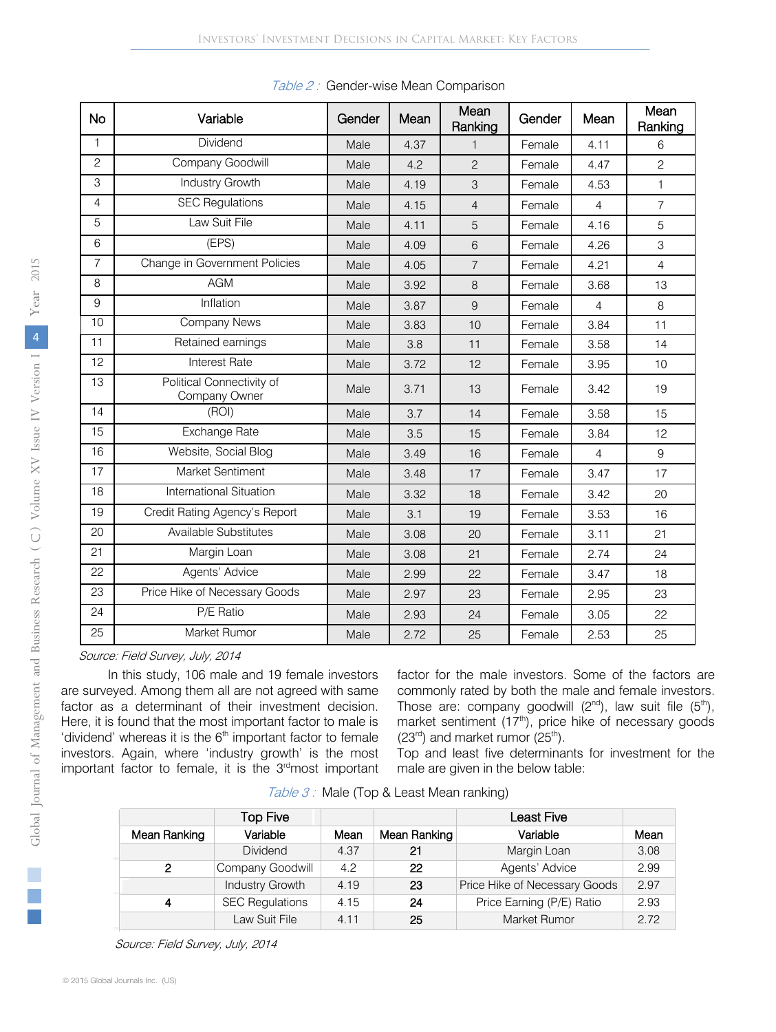| <b>No</b>      | Variable                                   | Gender | Mean | Mean<br>Ranking | Gender | Mean           | Mean<br>Ranking |
|----------------|--------------------------------------------|--------|------|-----------------|--------|----------------|-----------------|
| 1              | Dividend                                   | Male   | 4.37 | $\mathbf{1}$    | Female | 4.11           | 6               |
| $\mathbf{2}$   | Company Goodwill                           | Male   | 4.2  | $\overline{c}$  | Female | 4.47           | $\overline{c}$  |
| 3              | Industry Growth                            | Male   | 4.19 | 3               | Female | 4.53           | $\mathbf{1}$    |
| 4              | <b>SEC Regulations</b>                     | Male   | 4.15 | $\overline{4}$  | Female | $\overline{4}$ | $\overline{7}$  |
| 5              | Law Suit File                              | Male   | 4.11 | 5               | Female | 4.16           | 5               |
| 6              | (EPS)                                      | Male   | 4.09 | 6               | Female | 4.26           | 3               |
| $\overline{7}$ | Change in Government Policies              | Male   | 4.05 | $\overline{7}$  | Female | 4.21           | $\overline{4}$  |
| 8              | <b>AGM</b>                                 | Male   | 3.92 | 8               | Female | 3.68           | 13              |
| 9              | Inflation                                  | Male   | 3.87 | $\overline{9}$  | Female | $\overline{4}$ | 8               |
| 10             | <b>Company News</b>                        | Male   | 3.83 | 10              | Female | 3.84           | 11              |
| 11             | Retained earnings                          | Male   | 3.8  | 11              | Female | 3.58           | 14              |
| 12             | <b>Interest Rate</b>                       | Male   | 3.72 | 12              | Female | 3.95           | 10              |
| 13             | Political Connectivity of<br>Company Owner | Male   | 3.71 | 13              | Female | 3.42           | 19              |
| 14             | (ROI)                                      | Male   | 3.7  | 14              | Female | 3.58           | 15              |
| 15             | Exchange Rate                              | Male   | 3.5  | 15              | Female | 3.84           | 12              |
| 16             | Website, Social Blog                       | Male   | 3.49 | 16              | Female | $\overline{4}$ | 9               |
| 17             | Market Sentiment                           | Male   | 3.48 | 17              | Female | 3.47           | 17              |
| 18             | International Situation                    | Male   | 3.32 | 18              | Female | 3.42           | 20              |
| 19             | Credit Rating Agency's Report              | Male   | 3.1  | 19              | Female | 3.53           | 16              |
| 20             | Available Substitutes                      | Male   | 3.08 | 20              | Female | 3.11           | 21              |
| 21             | Margin Loan                                | Male   | 3.08 | 21              | Female | 2.74           | 24              |
| 22             | Agents' Advice                             | Male   | 2.99 | 22              | Female | 3.47           | 18              |
| 23             | Price Hike of Necessary Goods              | Male   | 2.97 | 23              | Female | 2.95           | 23              |
| 24             | P/E Ratio                                  | Male   | 2.93 | 24              | Female | 3.05           | 22              |
| 25             | Market Rumor                               | Male   | 2.72 | 25              | Female | 2.53           | 25              |

| Table 2: Gender-wise Mean Comparison |  |  |  |  |  |
|--------------------------------------|--|--|--|--|--|
|--------------------------------------|--|--|--|--|--|

Source: Field Survey, July, 2014

In this study, 106 male and 19 female investors are surveyed. Among them all are not agreed with same factor as a determinant of their investment decision. Here, it is found that the most important factor to male is 'dividend' whereas it is the  $6<sup>th</sup>$  important factor to female investors. Again, where 'industry growth' is the most important factor to female, it is the 3<sup>rd</sup>most important factor for the male investors. Some of the factors are commonly rated by both the male and female investors. Those are: company goodwill  $(2^{nd})$ , law suit file  $(5^{th})$ , market sentiment (17<sup>th</sup>), price hike of necessary goods  $(23<sup>rd</sup>)$  and market rumor  $(25<sup>th</sup>)$ .

Top and least five determinants for investment for the male are given in the below table:

|              | Top Five               |      |              | Least Five                    |      |
|--------------|------------------------|------|--------------|-------------------------------|------|
| Mean Ranking | Variable               | Mean | Mean Ranking | Variable                      | Mean |
|              | <b>Dividend</b>        | 4.37 | 21           | Margin Loan                   | 3.08 |
| 2            | Company Goodwill       | 4.2  | 22           | Agents' Advice                | 2.99 |
|              | Industry Growth        | 4.19 | 23           | Price Hike of Necessary Goods | 2.97 |
|              | <b>SEC Regulations</b> | 4.15 | 24           | Price Earning (P/E) Ratio     | 2.93 |
|              | Law Suit File          | 4.11 | 25           | Market Rumor                  | 2.72 |

Table 3: Male (Top & Least Mean ranking)

Source: Field Survey, July, 2014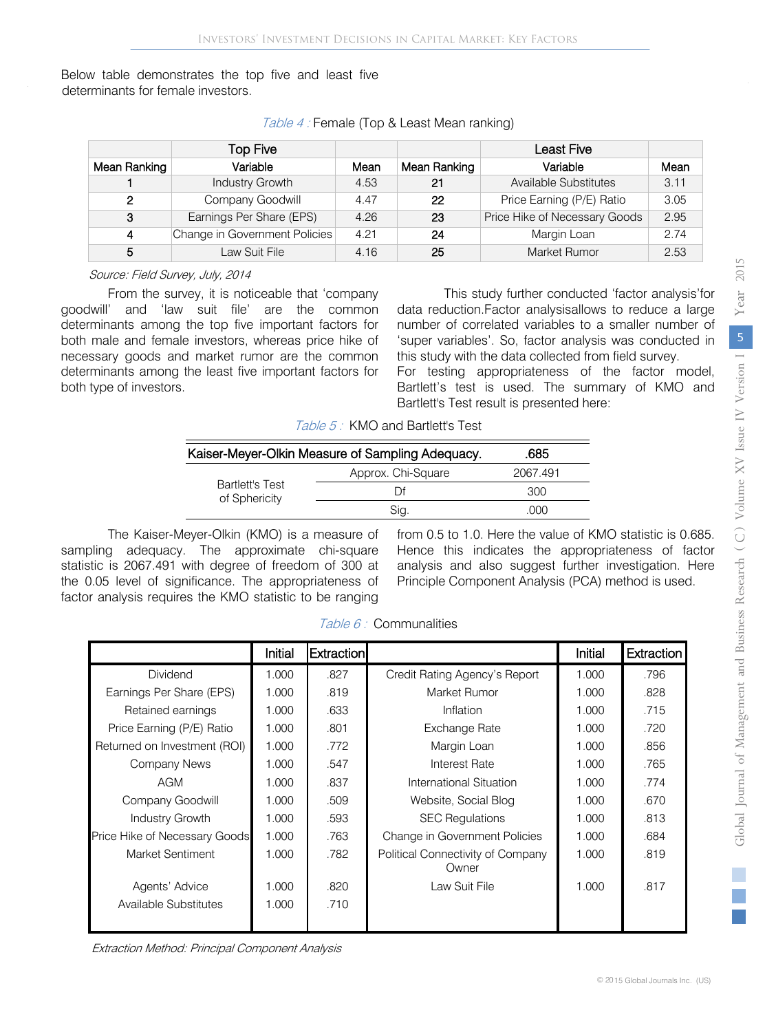Below table demonstrates the top five and least five determinants for female investors.

|              | Top Five                      |      |              | <b>Least Five</b>             |      |
|--------------|-------------------------------|------|--------------|-------------------------------|------|
| Mean Ranking | Variable                      | Mean | Mean Ranking | Variable                      | Mean |
|              | Industry Growth               | 4.53 | 21           | Available Substitutes         | 3.11 |
| 2            | Company Goodwill              | 4.47 | 22           | Price Earning (P/E) Ratio     | 3.05 |
| 3            | Earnings Per Share (EPS)      | 4.26 | 23           | Price Hike of Necessary Goods | 2.95 |
| 4            | Change in Government Policies | 4.21 | 24           | Margin Loan                   | 2.74 |
| 5            | Law Suit File                 | 4.16 | 25           | Market Rumor                  | 2.53 |

Table 4 : Female (Top & Least Mean ranking)

Source: Field Survey, July, 2014

From the survey, it is noticeable that 'company goodwill' and 'law suit file' are the common determinants among the top five important factors for both male and female investors, whereas price hike of necessary goods and market rumor are the common determinants among the least five important factors for both type of investors.

This study further conducted 'factor analysis'for data reduction.Factor analysisallows to reduce a large number of correlated variables to a smaller number of 'super variables'. So, factor analysis was conducted in this study with the data collected from field survey.

For testing appropriateness of the factor model, Bartlett's test is used. The summary of KMO and Bartlett's Test result is presented here:

Table 5: KMO and Bartlett's Test

| Kaiser-Meyer-Olkin Measure of Sampling Adequacy. | .685               |          |  |
|--------------------------------------------------|--------------------|----------|--|
|                                                  | Approx. Chi-Square | 2067.491 |  |
| <b>Bartlett's Test</b><br>of Sphericity          | ΓH                 | 300      |  |
|                                                  | Sig.               | .റററ     |  |

The Kaiser-Meyer-Olkin (KMO) is a measure of sampling adequacy. The approximate chi-square statistic is 2067.491 with degree of freedom of 300 at the 0.05 level of significance. The appropriateness of factor analysis requires the KMO statistic to be ranging from 0.5 to 1.0. Here the value of KMO statistic is 0.685. Hence this indicates the appropriateness of factor analysis and also suggest further investigation. Here Principle Component Analysis (PCA) method is used.

|                               | Initial | <b>Extraction</b> |                                            | Initial | <b>Extraction</b> |
|-------------------------------|---------|-------------------|--------------------------------------------|---------|-------------------|
| <b>Dividend</b>               | 1.000   | .827              | Credit Rating Agency's Report              | 1.000   | .796              |
| Earnings Per Share (EPS)      | 1.000   | .819              | Market Rumor                               | 1.000   | .828              |
| Retained earnings             | 1.000   | .633              | Inflation                                  | 1.000   | .715              |
| Price Earning (P/E) Ratio     | 1.000   | .801              | Exchange Rate                              | 1.000   | .720              |
| Returned on Investment (ROI)  | 1.000   | .772              | Margin Loan                                | 1.000   | .856              |
| Company News                  | 1.000   | .547              | Interest Rate                              | 1.000   | .765              |
| AGM                           | 1.000   | .837              | International Situation                    | 1.000   | .774              |
| Company Goodwill              | 1.000   | .509              | Website, Social Blog                       | 1.000   | .670              |
| Industry Growth               | 1.000   | .593              | <b>SEC Regulations</b>                     | 1.000   | .813              |
| Price Hike of Necessary Goods | 1.000   | .763              | Change in Government Policies              | 1.000   | .684              |
| Market Sentiment              | 1.000   | .782              | Political Connectivity of Company<br>Owner | 1.000   | .819              |
| Agents' Advice                | 1.000   | .820              | Law Suit File                              | 1.000   | .817              |
| Available Substitutes         | 1.000   | .710              |                                            |         |                   |

Table 6 : Communalities

Extraction Method: Principal Component Analysis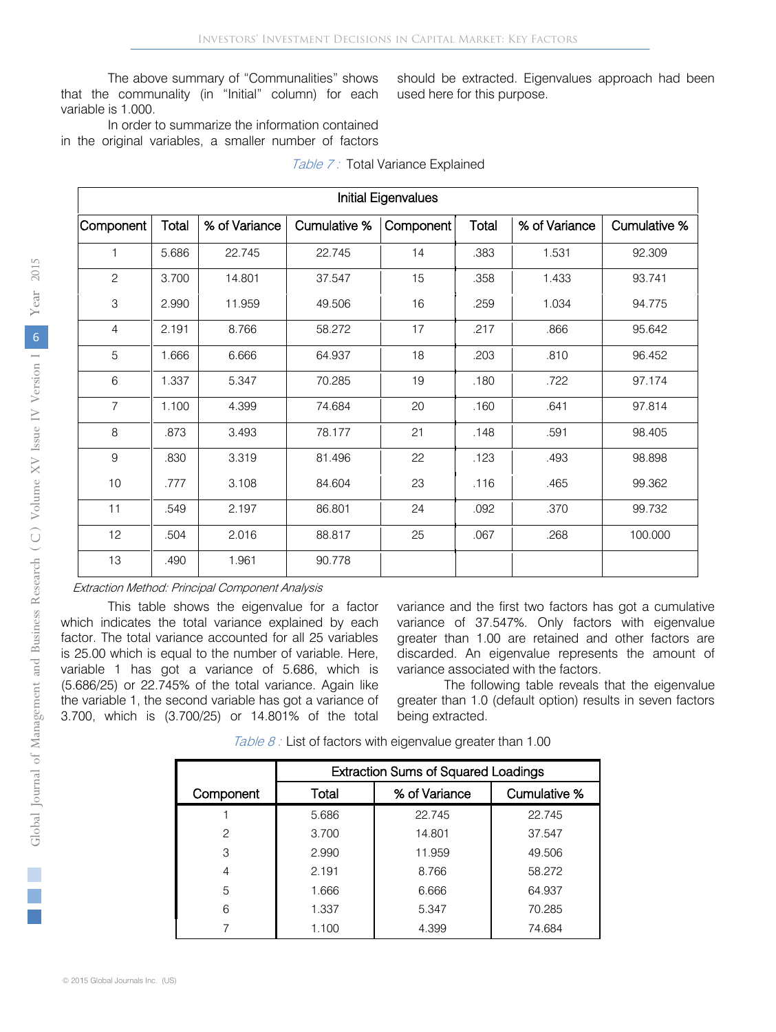The above summary of "Communalities" shows that the communality (in "Initial" column) for each variable is 1.000.

should be extracted. Eigenvalues approach had been used here for this purpose.

In order to summarize the information contained in the original variables, a smaller number of factors

| <b>Initial Eigenvalues</b> |       |               |              |           |       |               |              |  |  |
|----------------------------|-------|---------------|--------------|-----------|-------|---------------|--------------|--|--|
| Component                  | Total | % of Variance | Cumulative % | Component | Total | % of Variance | Cumulative % |  |  |
| 1                          | 5.686 | 22.745        | 22.745       | 14        | .383  | 1.531         | 92.309       |  |  |
| $\sqrt{2}$                 | 3.700 | 14.801        | 37.547       | 15        | .358  | 1.433         | 93.741       |  |  |
| 3                          | 2.990 | 11.959        | 49.506       | 16        | .259  | 1.034         | 94.775       |  |  |
| $\overline{4}$             | 2.191 | 8.766         | 58.272       | 17        | .217  | .866          | 95.642       |  |  |
| 5                          | 1.666 | 6.666         | 64.937       | 18        | .203  | .810          | 96.452       |  |  |
| 6                          | 1.337 | 5.347         | 70.285       | 19        | .180  | .722          | 97.174       |  |  |
| $\overline{7}$             | 1.100 | 4.399         | 74.684       | 20        | .160  | .641          | 97.814       |  |  |
| 8                          | .873  | 3.493         | 78.177       | 21        | .148  | .591          | 98.405       |  |  |
| $\mathsf 9$                | .830  | 3.319         | 81.496       | 22        | .123  | .493          | 98.898       |  |  |
| 10                         | .777  | 3.108         | 84.604       | 23        | .116  | .465          | 99.362       |  |  |
| 11                         | .549  | 2.197         | 86.801       | 24        | .092  | .370          | 99.732       |  |  |
| 12                         | .504  | 2.016         | 88.817       | 25        | .067  | .268          | 100.000      |  |  |
| 13                         | .490  | 1.961         | 90.778       |           |       |               |              |  |  |

#### Table 7: Total Variance Explained

#### Extraction Method: Principal Component Analysis

This table shows the eigenvalue for a factor which indicates the total variance explained by each factor. The total variance accounted for all 25 variables is 25.00 which is equal to the number of variable. Here, variable 1 has got a variance of 5.686, which is (5.686/25) or 22.745% of the total variance. Again like the variable 1, the second variable has got a variance of 3.700, which is (3.700/25) or 14.801% of the total variance and the first two factors has got a cumulative variance of 37.547%. Only factors with eigenvalue greater than 1.00 are retained and other factors are discarded. An eigenvalue represents the amount of variance associated with the factors.

The following table reveals that the eigenvalue greater than 1.0 (default option) results in seven factors being extracted.

Table 8 : List of factors with eigenvalue greater than 1.00

|               | <b>Extraction Sums of Squared Loadings</b> |               |              |  |  |  |  |  |
|---------------|--------------------------------------------|---------------|--------------|--|--|--|--|--|
| Component     | Total                                      | % of Variance | Cumulative % |  |  |  |  |  |
|               | 5.686                                      | 22.745        | 22.745       |  |  |  |  |  |
| $\mathcal{P}$ | 3.700                                      | 14.801        | 37.547       |  |  |  |  |  |
| 3             | 2.990                                      | 11.959        | 49.506       |  |  |  |  |  |
| 4             | 2.191                                      | 8.766         | 58.272       |  |  |  |  |  |
| 5             | 1.666                                      | 6.666         | 64.937       |  |  |  |  |  |
| 6             | 1.337                                      | 5.347         | 70.285       |  |  |  |  |  |
|               | 1.100                                      | 4.399         | 74.684       |  |  |  |  |  |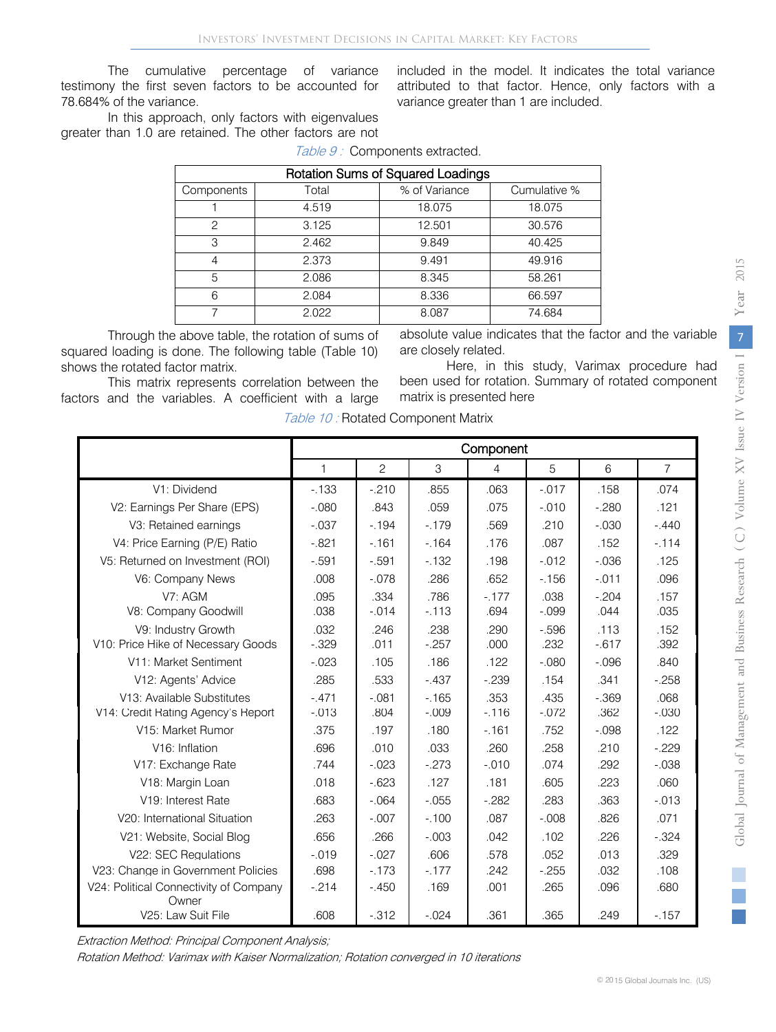The cumulative percentage of variance testimony the first seven factors to be accounted for 78.684% of the variance.

included in the model. It indicates the total variance attributed to that factor. Hence, only factors with a variance greater than 1 are included.

In this approach, only factors with eigenvalues greater than 1.0 are retained. The other factors are not

Table 9: Components extracted.

| <b>Rotation Sums of Squared Loadings</b> |       |               |              |  |  |  |  |  |  |
|------------------------------------------|-------|---------------|--------------|--|--|--|--|--|--|
| Components                               | Total | % of Variance | Cumulative % |  |  |  |  |  |  |
|                                          | 4.519 | 18.075        | 18.075       |  |  |  |  |  |  |
| っ                                        | 3.125 | 12.501        | 30.576       |  |  |  |  |  |  |
| 3                                        | 2.462 | 9.849         | 40.425       |  |  |  |  |  |  |
| 4                                        | 2.373 | 9.491         | 49.916       |  |  |  |  |  |  |
| 5                                        | 2.086 | 8.345         | 58.261       |  |  |  |  |  |  |
| 6                                        | 2.084 | 8.336         | 66.597       |  |  |  |  |  |  |
|                                          | 2.022 | 8.087         | 74.684       |  |  |  |  |  |  |

Through the above table, the rotation of sums of squared loading is done. The following table (Table 10) shows the rotated factor matrix.

absolute value indicates that the factor and the variable are closely related.

Here, in this study, Varimax procedure had been used for rotation. Summary of rotated component matrix is presented here

This matrix represents correlation between the factors and the variables. A coefficient with a large

Table 10 : Rotated Component Matrix

|                                        |              |                |          | Component |          |          |                |
|----------------------------------------|--------------|----------------|----------|-----------|----------|----------|----------------|
|                                        | $\mathbf{1}$ | $\overline{c}$ | 3        | 4         | 5        | 6        | $\overline{7}$ |
| V1: Dividend                           | $-133$       | $-210$         | .855     | .063      | $-.017$  | .158     | .074           |
| V2: Earnings Per Share (EPS)           | $-.080$      | .843           | .059     | .075      | $-.010$  | $-.280$  | .121           |
| V3: Retained earnings                  | $-.037$      | $-194$         | $-179$   | .569      | .210     | $-.030$  | $-.440$        |
| V4: Price Earning (P/E) Ratio          | $-.821$      | $-161$         | $-164$   | .176      | .087     | .152     | $-114$         |
| V5: Returned on Investment (ROI)       | $-.591$      | $-.591$        | $-132$   | .198      | $-.012$  | $-.036$  | .125           |
| V6: Company News                       | .008         | $-.078$        | .286     | .652      | $-156$   | $-.011$  | .096           |
| V7: AGM                                | .095         | .334           | .786     | $-177$    | .038     | $-.204$  | .157           |
| V8: Company Goodwill                   | .038         | $-.014$        | $-0.113$ | .694      | $-.099$  | .044     | .035           |
| V9: Industry Growth                    | .032         | .246           | .238     | .290      | $-0.596$ | .113     | .152           |
| V10: Price Hike of Necessary Goods     | $-.329$      | .011           | $-.257$  | .000      | .232     | $-0.617$ | .392           |
| V11: Market Sentiment                  | $-.023$      | .105           | .186     | .122      | $-.080$  | $-.096$  | .840           |
| V12: Agents' Advice                    | .285         | .533           | $-.437$  | $-.239$   | .154     | .341     | $-.258$        |
| V13: Available Substitutes             | $-.471$      | $-.081$        | $-165$   | .353      | .435     | $-.369$  | .068           |
| V14: Credit Rating Agency's Report     | $-.013$      | .804           | $-.009$  | $-116$    | $-.072$  | .362     | $-.030$        |
| V <sub>15</sub> : Market Rumor         | .375         | .197           | .180     | $-161$    | .752     | $-.098$  | .122           |
| V <sub>16</sub> : Inflation            | .696         | .010           | .033     | .260      | .258     | .210     | $-.229$        |
| V17: Exchange Rate                     | .744         | $-.023$        | $-.273$  | $-.010$   | .074     | .292     | $-.038$        |
| V18: Margin Loan                       | .018         | $-623$         | .127     | .181      | .605     | .223     | .060           |
| V <sub>19</sub> : Interest Rate        | .683         | $-.064$        | $-.055$  | $-282$    | .283     | .363     | $-.013$        |
| V20: International Situation           | .263         | $-.007$        | $-100$   | .087      | $-.008$  | .826     | .071           |
| V21: Website, Social Blog              | .656         | .266           | $-.003$  | .042      | .102     | .226     | $-.324$        |
| V22: SEC Regulations                   | $-.019$      | $-.027$        | .606     | .578      | .052     | .013     | .329           |
| V23: Change in Government Policies     | .698         | $-173$         | $-177$   | .242      | $-255$   | .032     | .108           |
| V24: Political Connectivity of Company | $-.214$      | $-.450$        | .169     | .001      | .265     | .096     | .680           |
| Owner                                  |              |                |          |           |          |          |                |
| V25: Law Suit File                     | .608         | $-0.312$       | $-.024$  | .361      | .365     | .249     | $-157$         |

Extraction Method: Principal Component Analysis;

Rotation Method: Varimax with Kaiser Normalization; Rotation converged in 10 iterations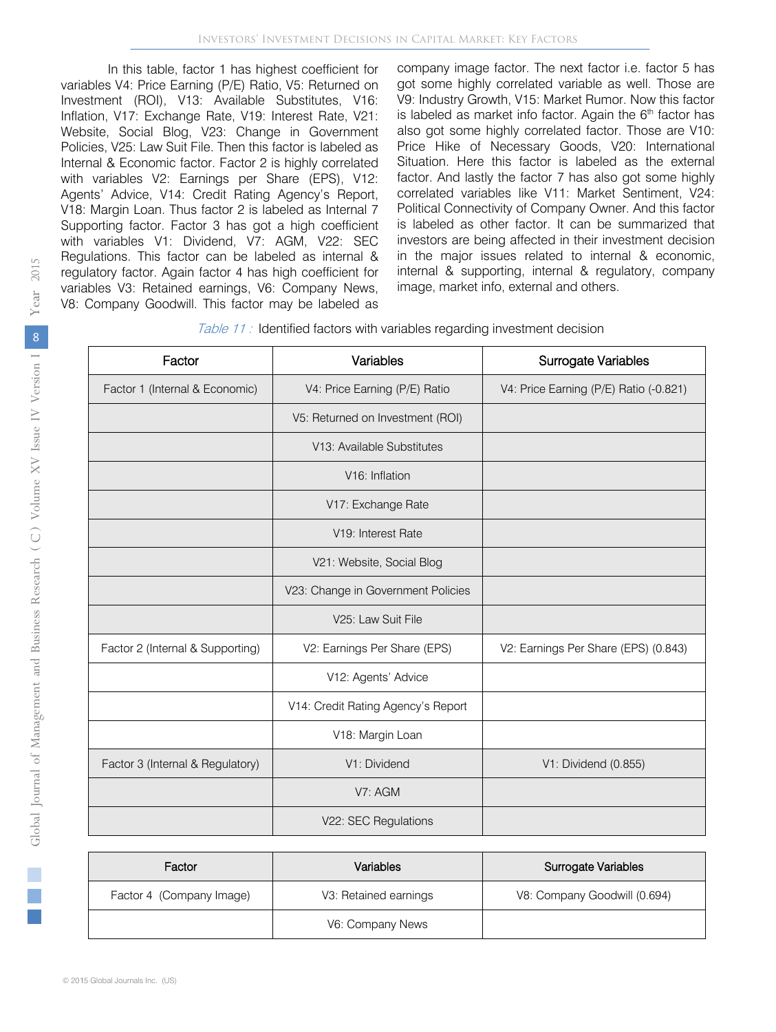Inflation, V17: Exchange Rate, V19: Interest Rate, V21: In this table, factor 1 has highest coefficient for variables V4: Price Earning (P/E) Ratio, V5: Returned on Investment (ROI), V13: Available Substitutes, V16: Website, Social Blog, V23: Change in Government Policies, V25: Law Suit File. Then this factor is labeled as Internal & Economic factor. Factor 2 is highly correlated with variables V2: Earnings per Share (EPS), V12: Agents' Advice, V14: Credit Rating Agency's Report, V18: Margin Loan. Thus factor 2 is labeled as Internal 7 Supporting factor. Factor 3 has got a high coefficient with variables V1: Dividend, V7: AGM, V22: SEC Regulations. This factor can be labeled as internal & regulatory factor. Again factor 4 has high coefficient for variables V3: Retained earnings, V6: Company News, V8: Company Goodwill. This factor may be labeled as

company image factor. The next factor i.e. factor 5 has got some highly correlated variable as well. Those are V9: Industry Growth, V15: Market Rumor. Now this factor is labeled as market info factor. Again the  $6<sup>th</sup>$  factor has also got some highly correlated factor. Those are V10: Price Hike of Necessary Goods, V20: International Situation. Here this factor is labeled as the external factor. And lastly the factor 7 has also got some highly correlated variables like V11: Market Sentiment, V24: Political Connectivity of Company Owner. And this factor is labeled as other factor. It can be summarized that investors are being affected in their investment decision in the major issues related to internal & economic, internal & supporting, internal & regulatory, company image, market info, external and others.

| Table 11: Identified factors with variables regarding investment decision |  |  |  |  |  |  |  |  |
|---------------------------------------------------------------------------|--|--|--|--|--|--|--|--|
|---------------------------------------------------------------------------|--|--|--|--|--|--|--|--|

| Variables<br>Factor              |                                    | Surrogate Variables                    |  |
|----------------------------------|------------------------------------|----------------------------------------|--|
| Factor 1 (Internal & Economic)   | V4: Price Earning (P/E) Ratio      | V4: Price Earning (P/E) Ratio (-0.821) |  |
|                                  | V5: Returned on Investment (ROI)   |                                        |  |
|                                  | V13: Available Substitutes         |                                        |  |
|                                  | V <sub>16</sub> : Inflation        |                                        |  |
|                                  | V17: Exchange Rate                 |                                        |  |
|                                  | V <sub>19</sub> : Interest Rate    |                                        |  |
|                                  | V21: Website, Social Blog          |                                        |  |
|                                  | V23: Change in Government Policies |                                        |  |
|                                  | V25: Law Suit File                 |                                        |  |
| Factor 2 (Internal & Supporting) | V2: Earnings Per Share (EPS)       | V2: Earnings Per Share (EPS) (0.843)   |  |
|                                  | V12: Agents' Advice                |                                        |  |
|                                  | V14: Credit Rating Agency's Report |                                        |  |
|                                  | V18: Margin Loan                   |                                        |  |
| Factor 3 (Internal & Regulatory) | V1: Dividend                       | V1: Dividend (0.855)                   |  |
|                                  | V7: AGM                            |                                        |  |
|                                  | V22: SEC Regulations               |                                        |  |

| Factor                   | Variables             | Surrogate Variables          |  |
|--------------------------|-----------------------|------------------------------|--|
| Factor 4 (Company Image) | V3: Retained earnings | V8: Company Goodwill (0.694) |  |
|                          | V6: Company News      |                              |  |

p.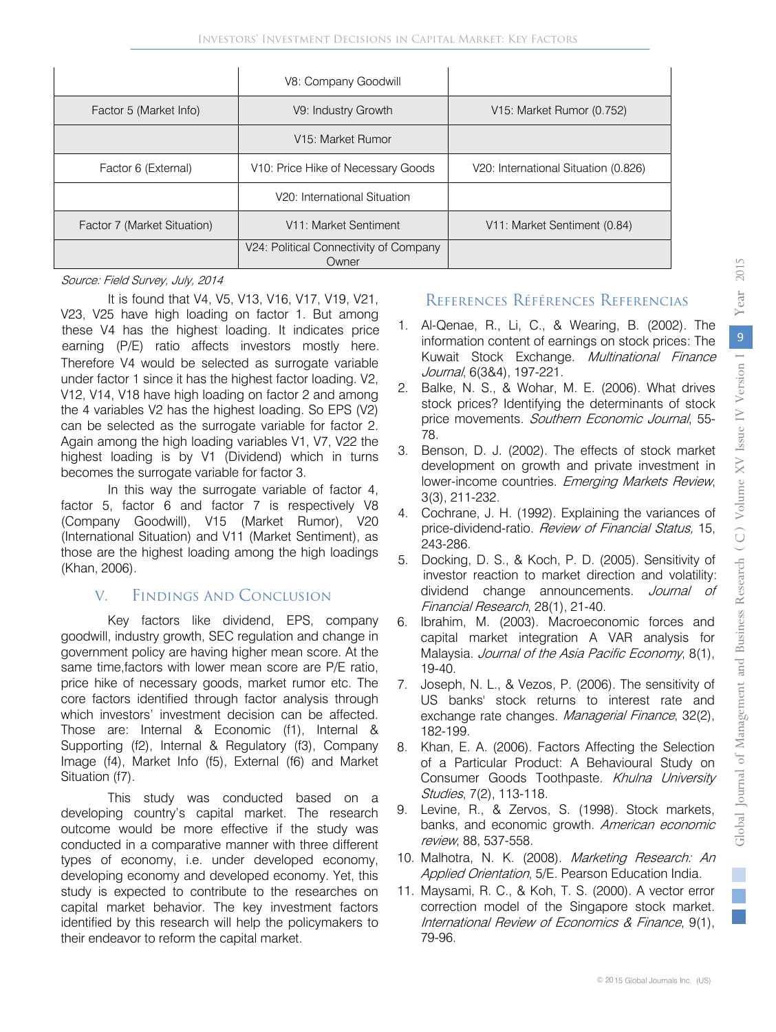|                             | V8: Company Goodwill                            |                                      |
|-----------------------------|-------------------------------------------------|--------------------------------------|
| Factor 5 (Market Info)      | V9: Industry Growth                             | V15: Market Rumor (0.752)            |
|                             | V15: Market Rumor                               |                                      |
| Factor 6 (External)         | V <sub>10</sub> : Price Hike of Necessary Goods | V20: International Situation (0.826) |
|                             | V20: International Situation                    |                                      |
| Factor 7 (Market Situation) | V11: Market Sentiment                           | V11: Market Sentiment (0.84)         |
|                             | V24: Political Connectivity of Company<br>Owner |                                      |

#### Source: Field Survey, July, 2014

It is found that V4, V5, V13, V16, V17, V19, V21, V23, V25 have high loading on factor 1. But among these V4 has the highest loading. It indicates price earning (P/E) ratio affects investors mostly here. Therefore V4 would be selected as surrogate variable under factor 1 since it has the highest factor loading. V2, V12, V14, V18 have high loading on factor 2 and among the 4 variables V2 has the highest loading. So EPS (V2) can be selected as the surrogate variable for factor 2. Again among the high loading variables V1, V7, V22 the highest loading is by V1 (Dividend) which in turns becomes the surrogate variable for factor 3.

In this way the surrogate variable of factor 4, factor 5, factor 6 and factor 7 is respectively V8 (Company Goodwill), V15 (Market Rumor), V20 (International Situation) and V11 (Market Sentiment), as those are the highest loading among the high loadings (Khan, 2006).

# V. Findings And Conclusion

 Key factors like dividend, EPS, company goodwill, industry growth, SEC regulation and change in government policy are having higher mean score. At the same time,factors with lower mean score are P/E ratio, price hike of necessary goods, market rumor etc. The core factors identified through factor analysis through which investors' investment decision can be affected. Those are: Internal & Economic (f1), Internal & Supporting (f2), Internal & Regulatory (f3), Company Image (f4), Market Info (f5), External (f6) and Market Situation (f7).

This study was conducted based on a developing country's capital market. The research outcome would be more effective if the study was conducted in a comparative manner with three different types of economy, i.e. under developed economy, developing economy and developed economy. Yet, this study is expected to contribute to the researches on capital market behavior. The key investment factors identified by this research will help the policymakers to their endeavor to reform the capital market.

### References Références Referencias

- 1. Al-Qenae, R., Li, C., & Wearing, B. (2002). The information content of earnings on stock prices: The Kuwait Stock Exchange. Multinational Finance Journal, 6(3&4), 197-221.
- 2. Balke, N. S., & Wohar, M. E. (2006). What drives stock prices? Identifying the determinants of stock price movements. Southern Economic Journal, 55-78.
- 3. Benson, D. J. (2002). The effects of stock market development on growth and private investment in lower-income countries. Emerging Markets Review, 3(3), 211-232.
- 4. Cochrane, J. H. (1992). Explaining the variances of price-dividend-ratio. Review of Financial Status, 15, 243-286.
- 5. Docking, D. S., & Koch, P. D. (2005). Sensitivity of investor reaction to market direction and volatility: dividend change announcements. Journal of Financial Research, 28(1), 21-40.
- 6. Ibrahim, M. (2003). Macroeconomic forces and capital market integration A VAR analysis for Malaysia. Journal of the Asia Pacific Economy, 8(1), 19-40.
- 7. Joseph, N. L., & Vezos, P. (2006). The sensitivity of US banks' stock returns to interest rate and exchange rate changes. Managerial Finance, 32(2), 182-199.
- 8. Khan, E. A. (2006). Factors Affecting the Selection of a Particular Product: A Behavioural Study on Consumer Goods Toothpaste. Khulna University Studies, 7(2), 113-118.
- 9. Levine, R., & Zervos, S. (1998). Stock markets, banks, and economic growth. American economic review, 88, 537-558.
- 10. Malhotra, N. K. (2008). Marketing Research: An Applied Orientation, 5/E. Pearson Education India.
- 11. Maysami, R. C., & Koh, T. S. (2000). A vector error correction model of the Singapore stock market. International Review of Economics & Finance, 9(1), 79-96.